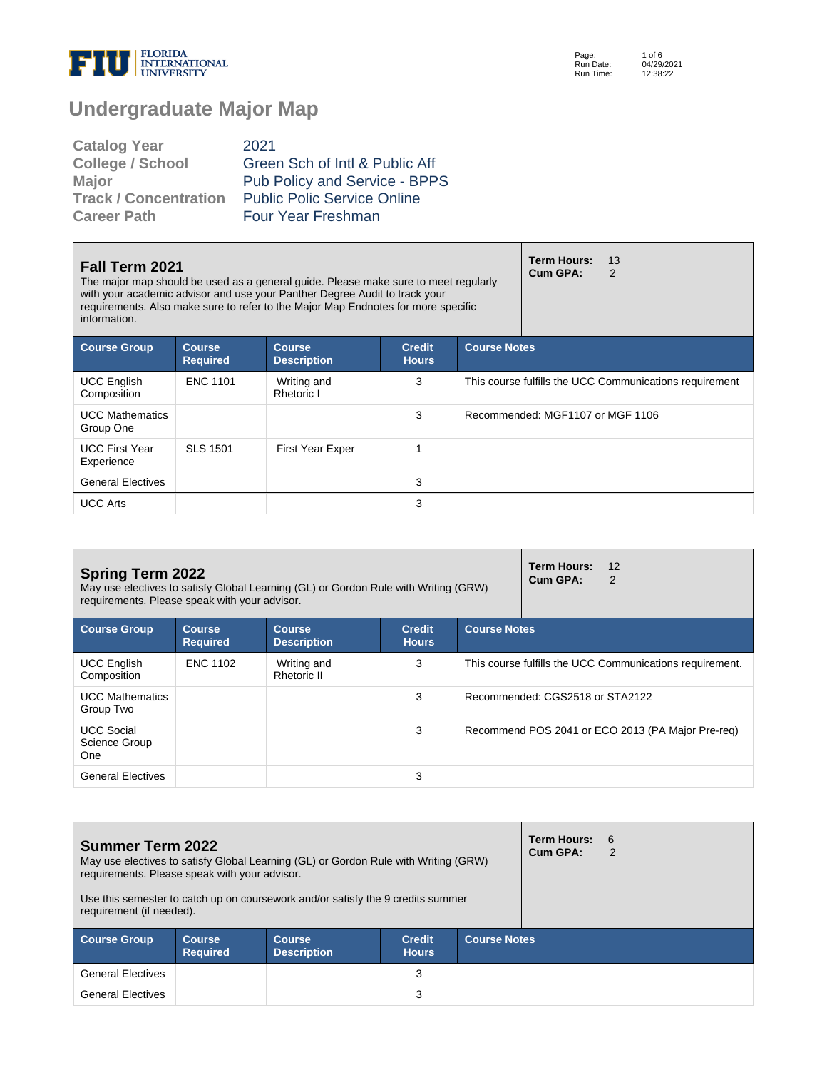

Page: Run Date: Run Time: 1 of 6 04/29/2021 12:38:22

# **Undergraduate Major Map**

| <b>Catalog Year</b>          | 2021                               |
|------------------------------|------------------------------------|
| <b>College / School</b>      | Green Sch of Intl & Public Aff     |
| <b>Major</b>                 | Pub Policy and Service - BPPS      |
| <b>Track / Concentration</b> | <b>Public Polic Service Online</b> |
| <b>Career Path</b>           | Four Year Freshman                 |

| <b>Fall Term 2021</b><br>The major map should be used as a general guide. Please make sure to meet regularly<br>with your academic advisor and use your Panther Degree Audit to track your<br>requirements. Also make sure to refer to the Major Map Endnotes for more specific<br>information. |                                  |                                     |                               |                     | <b>Term Hours:</b><br>Cum GPA:   | 13<br>2                                                 |
|-------------------------------------------------------------------------------------------------------------------------------------------------------------------------------------------------------------------------------------------------------------------------------------------------|----------------------------------|-------------------------------------|-------------------------------|---------------------|----------------------------------|---------------------------------------------------------|
| <b>Course Group</b>                                                                                                                                                                                                                                                                             | <b>Course</b><br><b>Required</b> | <b>Course</b><br><b>Description</b> | <b>Credit</b><br><b>Hours</b> | <b>Course Notes</b> |                                  |                                                         |
| <b>UCC English</b><br>Composition                                                                                                                                                                                                                                                               | <b>ENC 1101</b>                  | Writing and<br>Rhetoric I           | 3                             |                     |                                  | This course fulfills the UCC Communications requirement |
| <b>UCC Mathematics</b><br>Group One                                                                                                                                                                                                                                                             |                                  |                                     | 3                             |                     | Recommended: MGF1107 or MGF 1106 |                                                         |
| <b>UCC First Year</b><br>Experience                                                                                                                                                                                                                                                             | <b>SLS 1501</b>                  | <b>First Year Exper</b>             |                               |                     |                                  |                                                         |
| <b>General Electives</b>                                                                                                                                                                                                                                                                        |                                  |                                     | 3                             |                     |                                  |                                                         |
| <b>UCC Arts</b>                                                                                                                                                                                                                                                                                 |                                  |                                     | 3                             |                     |                                  |                                                         |

| <b>Spring Term 2022</b><br>May use electives to satisfy Global Learning (GL) or Gordon Rule with Writing (GRW)<br>requirements. Please speak with your advisor. |                                  |                                     |                               |                     | <b>Term Hours:</b><br>12<br>Cum GPA:<br>2                |
|-----------------------------------------------------------------------------------------------------------------------------------------------------------------|----------------------------------|-------------------------------------|-------------------------------|---------------------|----------------------------------------------------------|
| <b>Course Group</b>                                                                                                                                             | <b>Course</b><br><b>Required</b> | <b>Course</b><br><b>Description</b> | <b>Credit</b><br><b>Hours</b> | <b>Course Notes</b> |                                                          |
| <b>UCC English</b><br>Composition                                                                                                                               | <b>ENC 1102</b>                  | Writing and<br>Rhetoric II          | 3                             |                     | This course fulfills the UCC Communications requirement. |
| <b>UCC Mathematics</b><br>Group Two                                                                                                                             |                                  |                                     | 3                             |                     | Recommended: CGS2518 or STA2122                          |
| <b>UCC Social</b><br>Science Group<br>One                                                                                                                       |                                  |                                     | 3                             |                     | Recommend POS 2041 or ECO 2013 (PA Major Pre-req)        |
| <b>General Electives</b>                                                                                                                                        |                                  |                                     | 3                             |                     |                                                          |

| <b>Summer Term 2022</b><br>May use electives to satisfy Global Learning (GL) or Gordon Rule with Writing (GRW)<br>requirements. Please speak with your advisor.<br>Use this semester to catch up on coursework and/or satisfy the 9 credits summer<br>requirement (if needed). |                                  |                                     |                               |                     | <b>Term Hours: 6</b><br>Cum GPA: | 2 |  |
|--------------------------------------------------------------------------------------------------------------------------------------------------------------------------------------------------------------------------------------------------------------------------------|----------------------------------|-------------------------------------|-------------------------------|---------------------|----------------------------------|---|--|
| <b>Course Group</b>                                                                                                                                                                                                                                                            | <b>Course</b><br><b>Required</b> | <b>Course</b><br><b>Description</b> | <b>Credit</b><br><b>Hours</b> | <b>Course Notes</b> |                                  |   |  |
| <b>General Electives</b>                                                                                                                                                                                                                                                       |                                  |                                     | 3                             |                     |                                  |   |  |
| <b>General Electives</b>                                                                                                                                                                                                                                                       |                                  |                                     | 3                             |                     |                                  |   |  |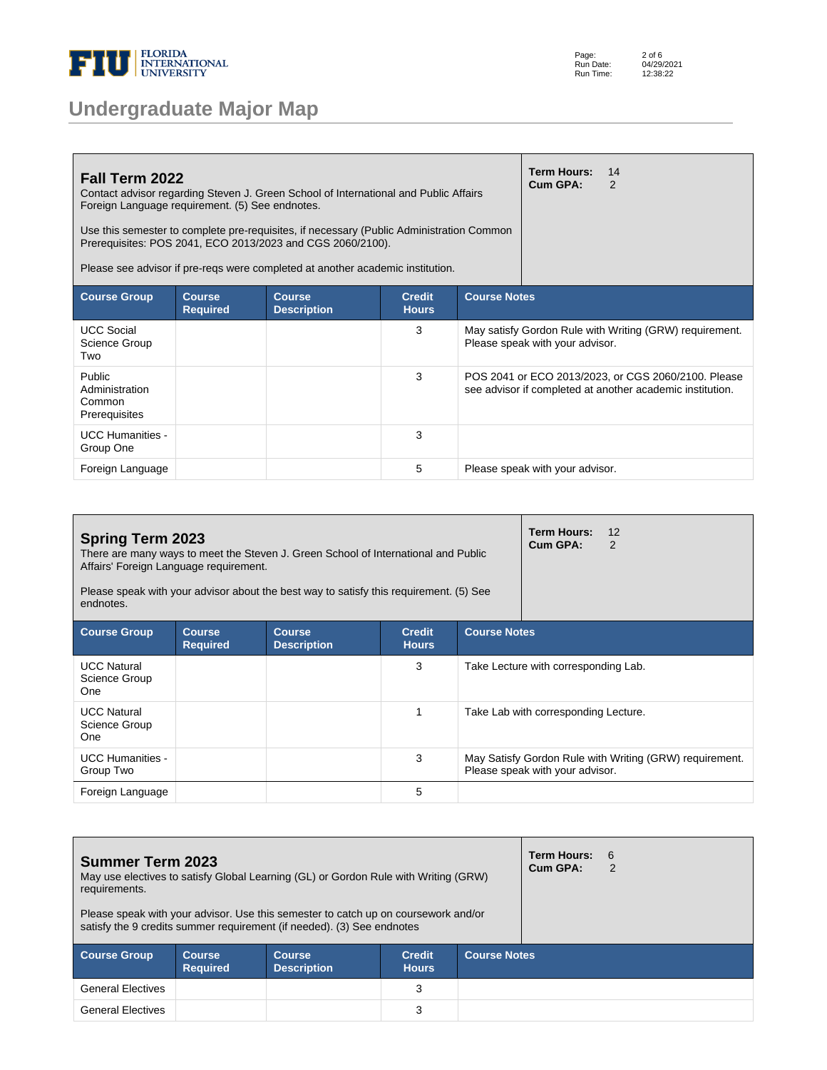

| Fall Term 2022<br>Contact advisor regarding Steven J. Green School of International and Public Affairs<br>Foreign Language requirement. (5) See endnotes.<br>Use this semester to complete pre-requisites, if necessary (Public Administration Common<br>Prerequisites: POS 2041, ECO 2013/2023 and CGS 2060/2100).<br>Please see advisor if pre-regs were completed at another academic institution. |                                  |                                     |                               |                                                                                                                  |                                 | 14<br>2                                                 |  |
|-------------------------------------------------------------------------------------------------------------------------------------------------------------------------------------------------------------------------------------------------------------------------------------------------------------------------------------------------------------------------------------------------------|----------------------------------|-------------------------------------|-------------------------------|------------------------------------------------------------------------------------------------------------------|---------------------------------|---------------------------------------------------------|--|
| <b>Course Group</b>                                                                                                                                                                                                                                                                                                                                                                                   | <b>Course</b><br><b>Required</b> | <b>Course</b><br><b>Description</b> | <b>Credit</b><br><b>Hours</b> |                                                                                                                  | <b>Course Notes</b>             |                                                         |  |
| <b>UCC Social</b><br>Science Group<br>Two                                                                                                                                                                                                                                                                                                                                                             |                                  |                                     | 3                             |                                                                                                                  | Please speak with your advisor. | May satisfy Gordon Rule with Writing (GRW) requirement. |  |
| Public<br>Administration<br>Common<br>Prerequisites                                                                                                                                                                                                                                                                                                                                                   |                                  |                                     | 3                             | POS 2041 or ECO 2013/2023, or CGS 2060/2100. Please<br>see advisor if completed at another academic institution. |                                 |                                                         |  |
| <b>UCC Humanities -</b><br>Group One                                                                                                                                                                                                                                                                                                                                                                  |                                  |                                     | 3                             |                                                                                                                  |                                 |                                                         |  |
| Foreign Language                                                                                                                                                                                                                                                                                                                                                                                      |                                  |                                     | 5                             |                                                                                                                  | Please speak with your advisor. |                                                         |  |

| <b>Spring Term 2023</b><br>There are many ways to meet the Steven J. Green School of International and Public<br>Affairs' Foreign Language requirement.<br>Please speak with your advisor about the best way to satisfy this requirement. (5) See<br>endnotes. |                                  | <b>Term Hours:</b><br>12<br>Cum GPA:<br>2 |                               |                     |                                                                                            |
|----------------------------------------------------------------------------------------------------------------------------------------------------------------------------------------------------------------------------------------------------------------|----------------------------------|-------------------------------------------|-------------------------------|---------------------|--------------------------------------------------------------------------------------------|
| <b>Course Group</b>                                                                                                                                                                                                                                            | <b>Course</b><br><b>Required</b> | <b>Course</b><br><b>Description</b>       | <b>Credit</b><br><b>Hours</b> | <b>Course Notes</b> |                                                                                            |
| <b>UCC Natural</b><br>Science Group<br><b>One</b>                                                                                                                                                                                                              |                                  |                                           | 3                             |                     | Take Lecture with corresponding Lab.                                                       |
| <b>UCC Natural</b><br>Science Group<br><b>One</b>                                                                                                                                                                                                              |                                  |                                           |                               |                     | Take Lab with corresponding Lecture.                                                       |
| <b>UCC Humanities -</b><br>Group Two                                                                                                                                                                                                                           |                                  |                                           | 3                             |                     | May Satisfy Gordon Rule with Writing (GRW) requirement.<br>Please speak with your advisor. |
| Foreign Language                                                                                                                                                                                                                                               |                                  |                                           | 5                             |                     |                                                                                            |

| <b>Summer Term 2023</b><br>May use electives to satisfy Global Learning (GL) or Gordon Rule with Writing (GRW)<br>requirements.                              |                                  | <b>Term Hours:</b><br>Cum GPA:      | - 6<br>2                      |                     |  |  |
|--------------------------------------------------------------------------------------------------------------------------------------------------------------|----------------------------------|-------------------------------------|-------------------------------|---------------------|--|--|
| Please speak with your advisor. Use this semester to catch up on coursework and/or<br>satisfy the 9 credits summer requirement (if needed). (3) See endnotes |                                  |                                     |                               |                     |  |  |
| <b>Course Group</b>                                                                                                                                          | <b>Course</b><br><b>Required</b> | <b>Course</b><br><b>Description</b> | <b>Credit</b><br><b>Hours</b> | <b>Course Notes</b> |  |  |
| <b>General Electives</b>                                                                                                                                     |                                  |                                     | 3                             |                     |  |  |
| <b>General Electives</b>                                                                                                                                     |                                  |                                     | 3                             |                     |  |  |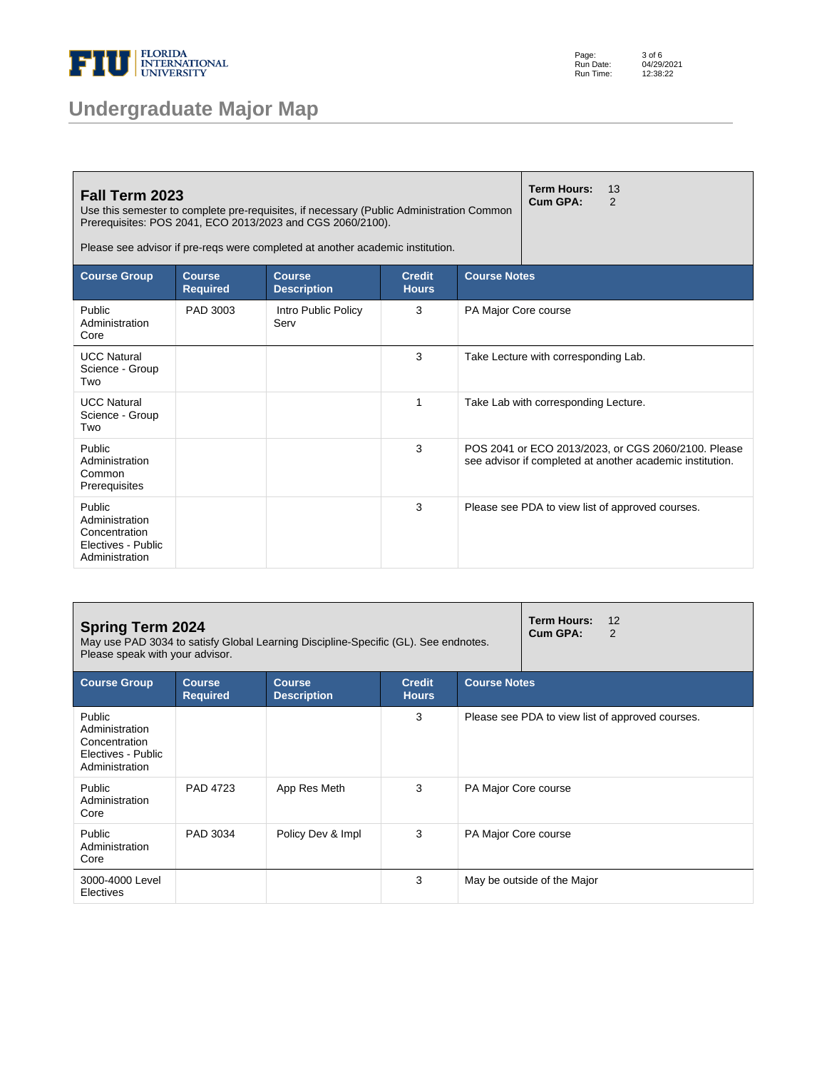

Page: Run Date: Run Time: 3 of 6 04/29/2021 12:38:22

| Fall Term 2023<br>Use this semester to complete pre-requisites, if necessary (Public Administration Common<br>Prerequisites: POS 2041, ECO 2013/2023 and CGS 2060/2100).<br>Please see advisor if pre-regs were completed at another academic institution. |                                  | <b>Term Hours:</b><br>Cum GPA:      | 13<br>$\mathcal{P}$           |                      |                                      |                                                                                                                  |
|------------------------------------------------------------------------------------------------------------------------------------------------------------------------------------------------------------------------------------------------------------|----------------------------------|-------------------------------------|-------------------------------|----------------------|--------------------------------------|------------------------------------------------------------------------------------------------------------------|
| <b>Course Group</b>                                                                                                                                                                                                                                        | <b>Course</b><br><b>Required</b> | <b>Course</b><br><b>Description</b> | <b>Credit</b><br><b>Hours</b> | <b>Course Notes</b>  |                                      |                                                                                                                  |
| Public<br>Administration<br>Core                                                                                                                                                                                                                           | PAD 3003                         | Intro Public Policy<br>Serv         | 3                             | PA Major Core course |                                      |                                                                                                                  |
| <b>UCC Natural</b><br>Science - Group<br>Two                                                                                                                                                                                                               |                                  |                                     | 3                             |                      | Take Lecture with corresponding Lab. |                                                                                                                  |
| <b>UCC Natural</b><br>Science - Group<br>Two                                                                                                                                                                                                               |                                  |                                     | 1                             |                      | Take Lab with corresponding Lecture. |                                                                                                                  |
| Public<br>Administration<br>Common<br>Prerequisites                                                                                                                                                                                                        |                                  |                                     | 3                             |                      |                                      | POS 2041 or ECO 2013/2023, or CGS 2060/2100. Please<br>see advisor if completed at another academic institution. |
| Public<br>Administration<br>Concentration<br>Electives - Public<br>Administration                                                                                                                                                                          |                                  |                                     | 3                             |                      |                                      | Please see PDA to view list of approved courses.                                                                 |

| <b>Spring Term 2024</b><br>May use PAD 3034 to satisfy Global Learning Discipline-Specific (GL). See endnotes.<br>Please speak with your advisor. |                                  | Term Hours:<br>12<br>Cum GPA:<br>2  |                               |                      |                                                  |
|---------------------------------------------------------------------------------------------------------------------------------------------------|----------------------------------|-------------------------------------|-------------------------------|----------------------|--------------------------------------------------|
| <b>Course Group</b>                                                                                                                               | <b>Course</b><br><b>Required</b> | <b>Course</b><br><b>Description</b> | <b>Credit</b><br><b>Hours</b> | <b>Course Notes</b>  |                                                  |
| Public<br>Administration<br>Concentration<br>Electives - Public<br>Administration                                                                 |                                  |                                     | 3                             |                      | Please see PDA to view list of approved courses. |
| Public<br>Administration<br>Core                                                                                                                  | PAD 4723                         | App Res Meth                        | 3                             | PA Major Core course |                                                  |
| Public<br>Administration<br>Core                                                                                                                  | PAD 3034                         | Policy Dev & Impl                   | 3                             | PA Major Core course |                                                  |
| 3000-4000 Level<br>Electives                                                                                                                      |                                  |                                     | 3                             |                      | May be outside of the Major                      |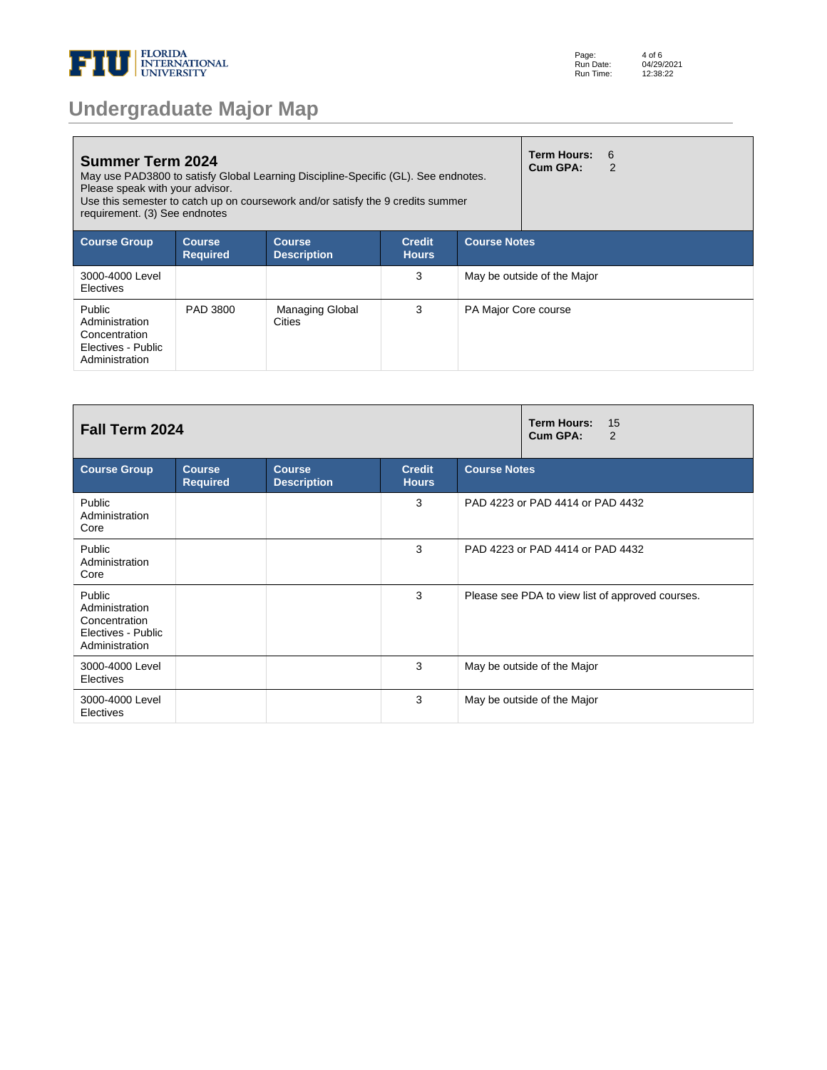

| <b>Undergraduate Major Map</b> |  |  |
|--------------------------------|--|--|
|--------------------------------|--|--|

| <b>Summer Term 2024</b><br>May use PAD3800 to satisfy Global Learning Discipline-Specific (GL). See endnotes.<br>Please speak with your advisor.<br>Use this semester to catch up on coursework and/or satisfy the 9 credits summer<br>requirement. (3) See endnotes |                                  |                                         |                               |                      |                             | - 6<br>2 |
|----------------------------------------------------------------------------------------------------------------------------------------------------------------------------------------------------------------------------------------------------------------------|----------------------------------|-----------------------------------------|-------------------------------|----------------------|-----------------------------|----------|
| <b>Course Group</b>                                                                                                                                                                                                                                                  | <b>Course</b><br><b>Required</b> | <b>Course</b><br><b>Description</b>     | <b>Credit</b><br><b>Hours</b> | <b>Course Notes</b>  |                             |          |
| 3000-4000 Level<br>Electives                                                                                                                                                                                                                                         |                                  |                                         | 3                             |                      | May be outside of the Major |          |
| Public<br>Administration<br>Concentration<br>Electives - Public<br>Administration                                                                                                                                                                                    | PAD 3800                         | <b>Managing Global</b><br><b>Cities</b> | 3                             | PA Major Core course |                             |          |

| Fall Term 2024                                                                    |                                  | <b>Term Hours:</b><br>15<br>Cum GPA:<br>2 |                               |                                                  |
|-----------------------------------------------------------------------------------|----------------------------------|-------------------------------------------|-------------------------------|--------------------------------------------------|
| <b>Course Group</b>                                                               | <b>Course</b><br><b>Required</b> | <b>Course</b><br><b>Description</b>       | <b>Credit</b><br><b>Hours</b> | <b>Course Notes</b>                              |
| Public<br>Administration<br>Core                                                  |                                  |                                           | 3                             | PAD 4223 or PAD 4414 or PAD 4432                 |
| Public<br>Administration<br>Core                                                  |                                  |                                           | 3                             | PAD 4223 or PAD 4414 or PAD 4432                 |
| Public<br>Administration<br>Concentration<br>Electives - Public<br>Administration |                                  |                                           | 3                             | Please see PDA to view list of approved courses. |
| 3000-4000 Level<br>Electives                                                      |                                  |                                           | 3                             | May be outside of the Major                      |
| 3000-4000 Level<br>Electives                                                      |                                  |                                           | 3                             | May be outside of the Major                      |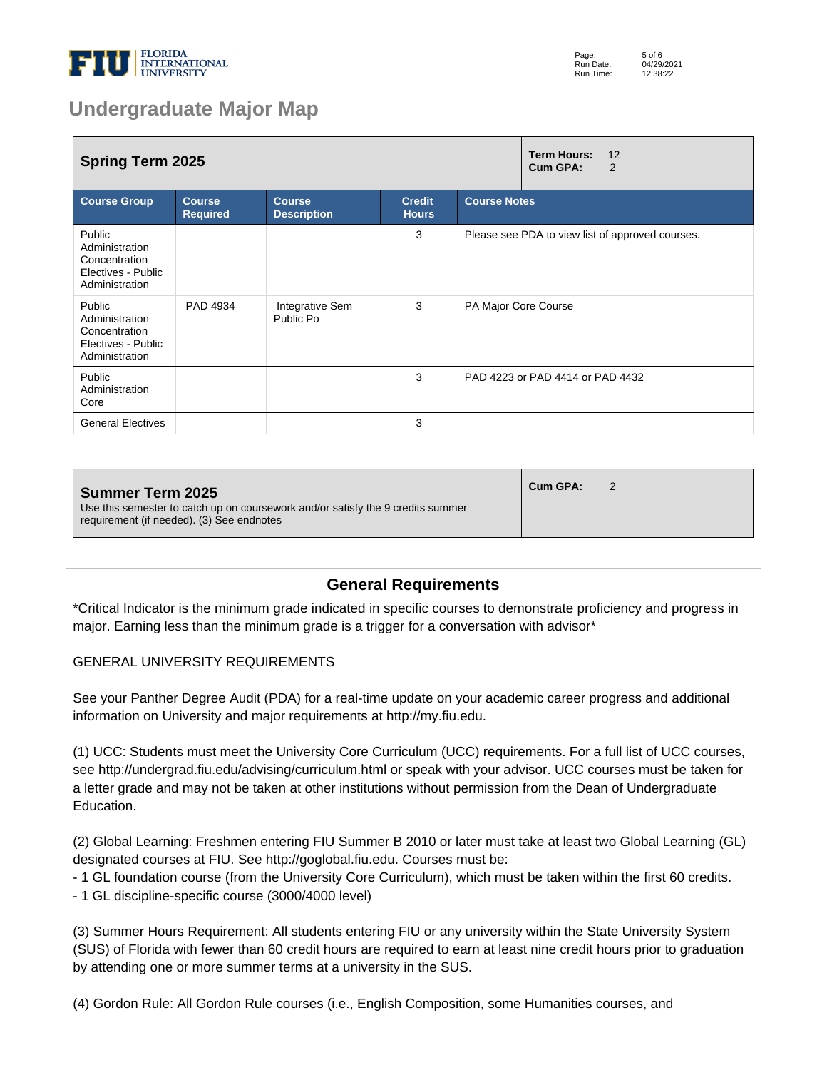

| <b>Spring Term 2025</b>                                                           |                                  | <b>Term Hours:</b><br>12<br>Cum GPA:<br>2 |                               |                                                  |  |
|-----------------------------------------------------------------------------------|----------------------------------|-------------------------------------------|-------------------------------|--------------------------------------------------|--|
| <b>Course Group</b>                                                               | <b>Course</b><br><b>Required</b> | <b>Course</b><br><b>Description</b>       | <b>Credit</b><br><b>Hours</b> | <b>Course Notes</b>                              |  |
| Public<br>Administration<br>Concentration<br>Electives - Public<br>Administration |                                  |                                           | 3                             | Please see PDA to view list of approved courses. |  |
| Public<br>Administration<br>Concentration<br>Electives - Public<br>Administration | PAD 4934                         | Integrative Sem<br>Public Po              | 3                             | PA Major Core Course                             |  |
| Public<br>Administration<br>Core                                                  |                                  |                                           | 3                             | PAD 4223 or PAD 4414 or PAD 4432                 |  |
| <b>General Electives</b>                                                          |                                  |                                           | 3                             |                                                  |  |

| <b>Summer Term 2025</b><br>Use this semester to catch up on coursework and/or satisfy the 9 credits summer<br>requirement (if needed). (3) See endnotes | Cum GPA: |  |
|---------------------------------------------------------------------------------------------------------------------------------------------------------|----------|--|
|---------------------------------------------------------------------------------------------------------------------------------------------------------|----------|--|

#### **General Requirements**

\*Critical Indicator is the minimum grade indicated in specific courses to demonstrate proficiency and progress in major. Earning less than the minimum grade is a trigger for a conversation with advisor\*

#### GENERAL UNIVERSITY REQUIREMENTS

See your Panther Degree Audit (PDA) for a real-time update on your academic career progress and additional information on University and major requirements at http://my.fiu.edu.

(1) UCC: Students must meet the University Core Curriculum (UCC) requirements. For a full list of UCC courses, see http://undergrad.fiu.edu/advising/curriculum.html or speak with your advisor. UCC courses must be taken for a letter grade and may not be taken at other institutions without permission from the Dean of Undergraduate Education.

(2) Global Learning: Freshmen entering FIU Summer B 2010 or later must take at least two Global Learning (GL) designated courses at FIU. See http://goglobal.fiu.edu. Courses must be:

- 1 GL foundation course (from the University Core Curriculum), which must be taken within the first 60 credits.

- 1 GL discipline-specific course (3000/4000 level)

(3) Summer Hours Requirement: All students entering FIU or any university within the State University System (SUS) of Florida with fewer than 60 credit hours are required to earn at least nine credit hours prior to graduation by attending one or more summer terms at a university in the SUS.

(4) Gordon Rule: All Gordon Rule courses (i.e., English Composition, some Humanities courses, and